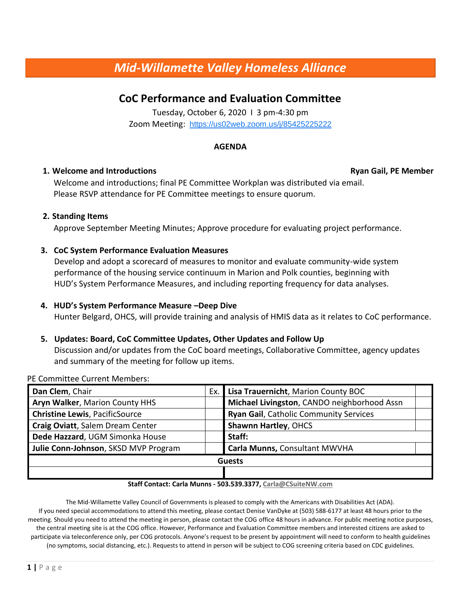# *Mid-Willamette Valley Homeless Alliance*

# **CoC Performance and Evaluation Committee**

Tuesday, October 6, 2020 I 3 pm-4:30 pm Zoom Meeting: <https://us02web.zoom.us/j/85425225222>

# **AGENDA**

# **1. Welcome and Introductions Ryan Gail, PE Member**

Welcome and introductions; final PE Committee Workplan was distributed via email. Please RSVP attendance for PE Committee meetings to ensure quorum.

# **2. Standing Items**

Approve September Meeting Minutes; Approve procedure for evaluating project performance.

# **3. CoC System Performance Evaluation Measures**

Develop and adopt a scorecard of measures to monitor and evaluate community-wide system performance of the housing service continuum in Marion and Polk counties, beginning with HUD's System Performance Measures, and including reporting frequency for data analyses.

# **4. HUD's System Performance Measure –Deep Dive**

Hunter Belgard, OHCS, will provide training and analysis of HMIS data as it relates to CoC performance.

# **5. Updates: Board, CoC Committee Updates, Other Updates and Follow Up**

Discussion and/or updates from the CoC board meetings, Collaborative Committee, agency updates and summary of the meeting for follow up items.

PE Committee Current Members:

| Dan Clem, Chair                       | Ex. | Lisa Trauernicht, Marion County BOC           |  |  |
|---------------------------------------|-----|-----------------------------------------------|--|--|
| Aryn Walker, Marion County HHS        |     | Michael Livingston, CANDO neighborhood Assn   |  |  |
| <b>Christine Lewis, PacificSource</b> |     | <b>Ryan Gail, Catholic Community Services</b> |  |  |
| Craig Oviatt, Salem Dream Center      |     | <b>Shawnn Hartley, OHCS</b>                   |  |  |
| Dede Hazzard, UGM Simonka House       |     | Staff:                                        |  |  |
| Julie Conn-Johnson, SKSD MVP Program  |     | Carla Munns, Consultant MWVHA                 |  |  |
| <b>Guests</b>                         |     |                                               |  |  |
|                                       |     |                                               |  |  |

#### **Staff Contact: Carla Munns - 503.539.3377, Carla@CSuiteNW.com**

The Mid-Willamette Valley Council of Governments is pleased to comply with the Americans with Disabilities Act (ADA). If you need special accommodations to attend this meeting, please contact Denise VanDyke at (503) 588-6177 at least 48 hours prior to the meeting. Should you need to attend the meeting in person, please contact the COG office 48 hours in advance. For public meeting notice purposes, the central meeting site is at the COG office. However, Performance and Evaluation Committee members and interested citizens are asked to participate via teleconference only, per COG protocols. Anyone's request to be present by appointment will need to conform to health guidelines (no symptoms, social distancing, etc.). Requests to attend in person will be subject to COG screening criteria based on CDC guidelines.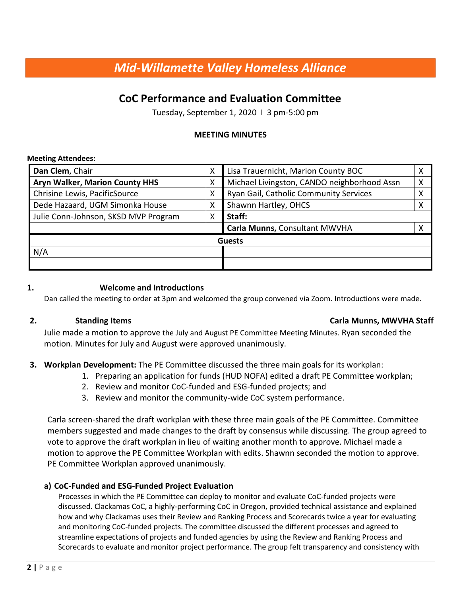# *Mid-Willamette Valley Homeless Alliance*

# **CoC Performance and Evaluation Committee**

Tuesday, September 1, 2020 I 3 pm-5:00 pm

# **MEETING MINUTES**

#### **Meeting Attendees:**

| Dan Clem, Chair                       | X | Lisa Trauernicht, Marion County BOC         |   |  |  |
|---------------------------------------|---|---------------------------------------------|---|--|--|
| <b>Aryn Walker, Marion County HHS</b> | X | Michael Livingston, CANDO neighborhood Assn | χ |  |  |
| Chrisine Lewis, PacificSource         | Χ | Ryan Gail, Catholic Community Services      | Χ |  |  |
| Dede Hazaard, UGM Simonka House       | Χ | Shawnn Hartley, OHCS                        | X |  |  |
| Julie Conn-Johnson, SKSD MVP Program  | X | Staff:                                      |   |  |  |
|                                       |   | Carla Munns, Consultant MWVHA               |   |  |  |
| <b>Guests</b>                         |   |                                             |   |  |  |
| N/A                                   |   |                                             |   |  |  |
|                                       |   |                                             |   |  |  |

### **1. Welcome and Introductions**

Dan called the meeting to order at 3pm and welcomed the group convened via Zoom. Introductions were made.

### **2. Standing Items Carla Munns, MWVHA Staff**

Julie made a motion to approve the July and August PE Committee Meeting Minutes. Ryan seconded the motion. Minutes for July and August were approved unanimously.

# **3. Workplan Development:** The PE Committee discussed the three main goals for its workplan:

- 1. Preparing an application for funds (HUD NOFA) edited a draft PE Committee workplan;
- 2. Review and monitor CoC-funded and ESG-funded projects; and
- 3. Review and monitor the community-wide CoC system performance.

Carla screen-shared the draft workplan with these three main goals of the PE Committee. Committee members suggested and made changes to the draft by consensus while discussing. The group agreed to vote to approve the draft workplan in lieu of waiting another month to approve. Michael made a motion to approve the PE Committee Workplan with edits. Shawnn seconded the motion to approve. PE Committee Workplan approved unanimously.

# **a) CoC-Funded and ESG-Funded Project Evaluation**

Processes in which the PE Committee can deploy to monitor and evaluate CoC-funded projects were discussed. Clackamas CoC, a highly-performing CoC in Oregon, provided technical assistance and explained how and why Clackamas uses their Review and Ranking Process and Scorecards twice a year for evaluating and monitoring CoC-funded projects. The committee discussed the different processes and agreed to streamline expectations of projects and funded agencies by using the Review and Ranking Process and Scorecards to evaluate and monitor project performance. The group felt transparency and consistency with